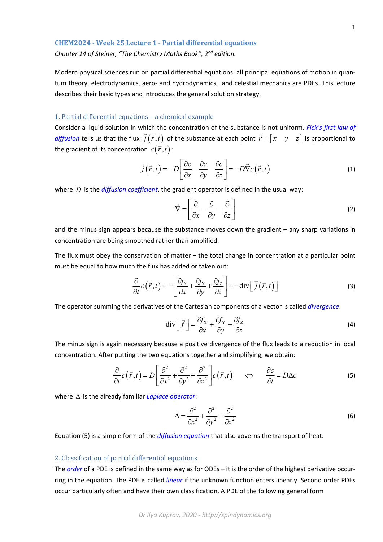*Chapter 14 of Steiner, "The Chemistry Maths Book", 2nd edition.*

Modern physical sciences run on partial differential equations: all principal equations of motion in quan‐ tum theory, electrodynamics, aero- and hydrodynamics, and celestial mechanics are PDEs. This lecture describes their basic types and introduces the general solution strategy.

## 1. Partial differential equations – a chemical example

Consider a liquid solution in which the concentration of the substance is not uniform. *Fick's first law of diffusion* tells us that the flux  $\vec{j}(\vec{r},t)$  of the substance at each point  $\vec{r} = \begin{bmatrix} x & y & z \end{bmatrix}$  is proportional to the gradient of its concentration  $c(\vec{r},t)$ :

$$
\vec{j}(\vec{r},t) = -D \left[ \frac{\partial c}{\partial x} \quad \frac{\partial c}{\partial y} \quad \frac{\partial c}{\partial z} \right] = -D \vec{\nabla} c(\vec{r},t)
$$
(1)

where *D* is the *diffusion coefficient*, the gradient operator is defined in the usual way:

$$
\vec{\nabla} = \begin{bmatrix} \frac{\partial}{\partial x} & \frac{\partial}{\partial y} & \frac{\partial}{\partial z} \end{bmatrix}
$$
 (2)

and the minus sign appears because the substance moves down the gradient – any sharp variations in concentration are being smoothed rather than amplified.

The flux must obey the conservation of matter – the total change in concentration at a particular point must be equal to how much the flux has added or taken out:

$$
\frac{\partial}{\partial t}c(\vec{r},t) = -\left[\frac{\partial j_{\rm x}}{\partial x} + \frac{\partial j_{\rm y}}{\partial y} + \frac{\partial j_{\rm z}}{\partial z}\right] = -\text{div}\left[\vec{j}\left(\vec{r},t\right)\right]
$$
\n(3)

The operator summing the derivatives of the Cartesian components of a vector is called *divergence*:

$$
\operatorname{div} \left[ \vec{f} \right] = \frac{\partial f_{\mathbf{x}}}{\partial x} + \frac{\partial f_{\mathbf{y}}}{\partial y} + \frac{\partial f_{\mathbf{z}}}{\partial z}
$$
 (4)

The minus sign is again necessary because a positive divergence of the flux leads to a reduction in local concentration. After putting the two equations together and simplifying, we obtain:

$$
\frac{\partial}{\partial t}c(\vec{r},t) = D\left[\frac{\partial^2}{\partial x^2} + \frac{\partial^2}{\partial y^2} + \frac{\partial^2}{\partial z^2}\right]c(\vec{r},t) \qquad \Longleftrightarrow \qquad \frac{\partial c}{\partial t} = D\Delta c \tag{5}
$$

where  $\Delta$  is the already familiar *Laplace operator*:

$$
\Delta = \frac{\partial^2}{\partial x^2} + \frac{\partial^2}{\partial y^2} + \frac{\partial^2}{\partial z^2}
$$
 (6)

Equation (5) is a simple form of the *diffusion equation* that also governs the transport of heat.

## 2. Classification of partial differential equations

The *order* of a PDE is defined in the same way as for ODEs – it is the order of the highest derivative occurring in the equation. The PDE is called *linear* if the unknown function enters linearly. Second order PDEs occur particularly often and have their own classification. A PDE of the following general form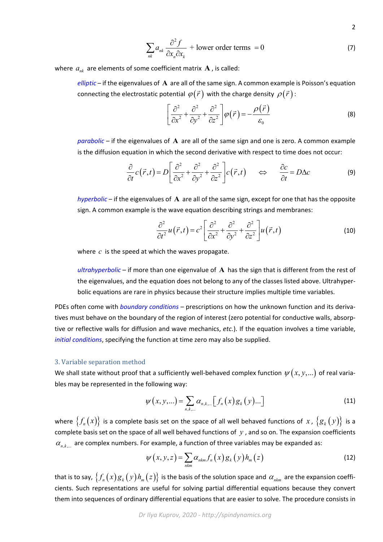$$
\sum_{nk} a_{nk} \frac{\partial^2 f}{\partial x_n \partial x_k} + \text{lower order terms} = 0 \tag{7}
$$

2

where  $a_{nk}$  are elements of some coefficient matrix  $A$ , is called:

*elliptic* – if the eigenvalues of **A** are all of the same sign. A common example is Poisson's equation connecting the electrostatic potential  $\varphi(\vec{r})$  with the charge density  $\rho(\vec{r})$ :

$$
\left[\frac{\partial^2}{\partial x^2} + \frac{\partial^2}{\partial y^2} + \frac{\partial^2}{\partial z^2}\right] \varphi(\vec{r}) = -\frac{\rho(\vec{r})}{\varepsilon_0}
$$
 (8)

*parabolic* – if the eigenvalues of **A** are all of the same sign and one is zero. A common example is the diffusion equation in which the second derivative with respect to time does not occur:

$$
\frac{\partial}{\partial t}c(\vec{r},t) = D\left[\frac{\partial^2}{\partial x^2} + \frac{\partial^2}{\partial y^2} + \frac{\partial^2}{\partial z^2}\right]c(\vec{r},t) \qquad \Leftrightarrow \qquad \frac{\partial c}{\partial t} = D\Delta c \tag{9}
$$

*hyperbolic* – if the eigenvalues of **A** are all of the same sign, except for one that has the opposite sign. A common example is the wave equation describing strings and membranes:

$$
\frac{\partial^2}{\partial t^2}u(\vec{r},t) = c^2 \left[\frac{\partial^2}{\partial x^2} + \frac{\partial^2}{\partial y^2} + \frac{\partial^2}{\partial z^2}\right]u(\vec{r},t)
$$
(10)

where *c* is the speed at which the waves propagate.

*ultrahyperbolic* – if more than one eigenvalue of **A** has the sign that is different from the rest of the eigenvalues, and the equation does not belong to any of the classes listed above. Ultrahyper‐ bolic equations are rare in physics because their structure implies multiple time variables.

PDEs often come with *boundary conditions* – prescriptions on how the unknown function and its deriva‐ tives must behave on the boundary of the region of interest (zero potential for conductive walls, absorp‐ tive or reflective walls for diffusion and wave mechanics, *etc.*). If the equation involves a time variable, *initial conditions*, specifying the function at time zero may also be supplied.

## 3. Variable separation method

We shall state without proof that a sufficiently well-behaved complex function  $\psi(x, y,...)$  of real variables may be represented in the following way:

$$
\psi(x, y, \ldots) = \sum_{n, k, \ldots} \alpha_{n, k, \ldots} \big[ f_n(x) g_k(y) \ldots \big]
$$
 (11)

where  $\{f_n(x)\}\$ is a complete basis set on the space of all well behaved functions of x,  $\{g_k(y)\}\$ is a complete basis set on the space of all well behaved functions of *y* , and so on. The expansion coefficients  $\alpha_{n,k,\dots}$  are complex numbers. For example, a function of three variables may be expanded as:

$$
\psi(x, y, z) = \sum_{n \text{km}} \alpha_{n \text{km}} f_n(x) g_k(y) h_m(z) \tag{12}
$$

that is to say,  $\{f_n(x)g_k(y)h_m(z)\}\$ is the basis of the solution space and  $\alpha_{nkm}$  are the expansion coefficients. Such representations are useful for solving partial differential equations because they convert them into sequences of ordinary differential equations that are easier to solve. The procedure consists in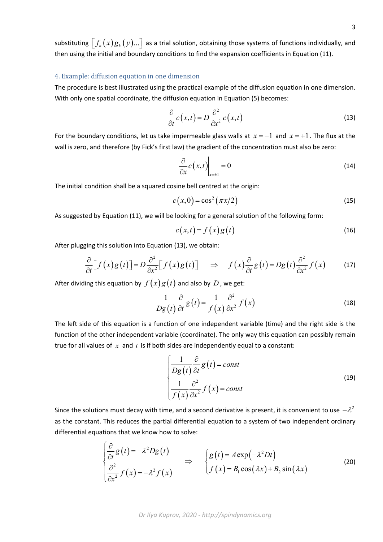substituting  $\left[ f_n(x)g_k(y)...\right]$  as a trial solution, obtaining those systems of functions individually, and then using the initial and boundary conditions to find the expansion coefficients in Equation (11).

## 4. Example: diffusion equation in one dimension

The procedure is best illustrated using the practical example of the diffusion equation in one dimension. With only one spatial coordinate, the diffusion equation in Equation (5) becomes:

$$
\frac{\partial}{\partial t}c(x,t) = D \frac{\partial^2}{\partial x^2}c(x,t)
$$
\n(13)

For the boundary conditions, let us take impermeable glass walls at  $x = -1$  and  $x = +1$ . The flux at the wall is zero, and therefore (by Fick's first law) the gradient of the concentration must also be zero:

$$
\left. \frac{\partial}{\partial x} c(x,t) \right|_{x=\pm 1} = 0 \tag{14}
$$

The initial condition shall be a squared cosine bell centred at the origin:

$$
c(x,0) = \cos^2(\pi x/2)
$$
 (15)

As suggested by Equation (11), we will be looking for a general solution of the following form:

$$
c(x,t) = f(x)g(t)
$$
\n(16)

After plugging this solution into Equation (13), we obtain:

$$
\frac{\partial}{\partial t} \Big[ f(x) g(t) \Big] = D \frac{\partial^2}{\partial x^2} \Big[ f(x) g(t) \Big] \quad \Rightarrow \quad f(x) \frac{\partial}{\partial t} g(t) = D g(t) \frac{\partial^2}{\partial x^2} f(x) \tag{17}
$$

After dividing this equation by  $f(x)g(t)$  and also by D, we get:

$$
\frac{1}{Dg(t)}\frac{\partial}{\partial t}g(t) = \frac{1}{f(x)}\frac{\partial^2}{\partial x^2}f(x)
$$
\n(18)

The left side of this equation is a function of one independent variable (time) and the right side is the function of the other independent variable (coordinate). The only way this equation can possibly remain true for all values of *x* and *t* is if both sides are independently equal to a constant:

$$
\begin{cases}\n\frac{1}{Dg(t)} \frac{\partial}{\partial t} g(t) = const \\
\frac{1}{f(x)} \frac{\partial^2}{\partial x^2} f(x) = const\n\end{cases}
$$
\n(19)

Since the solutions must decay with time, and a second derivative is present, it is convenient to use  $-\lambda^2$ as the constant. This reduces the partial differential equation to a system of two independent ordinary differential equations that we know how to solve:

$$
\begin{cases}\n\frac{\partial}{\partial t} g(t) = -\lambda^2 D g(t) \\
\frac{\partial^2}{\partial x^2} f(x) = -\lambda^2 f(x)\n\end{cases}\n\Rightarrow\n\begin{cases}\ng(t) = A \exp(-\lambda^2 D t) \\
f(x) = B_1 \cos(\lambda x) + B_2 \sin(\lambda x)\n\end{cases}
$$
\n(20)